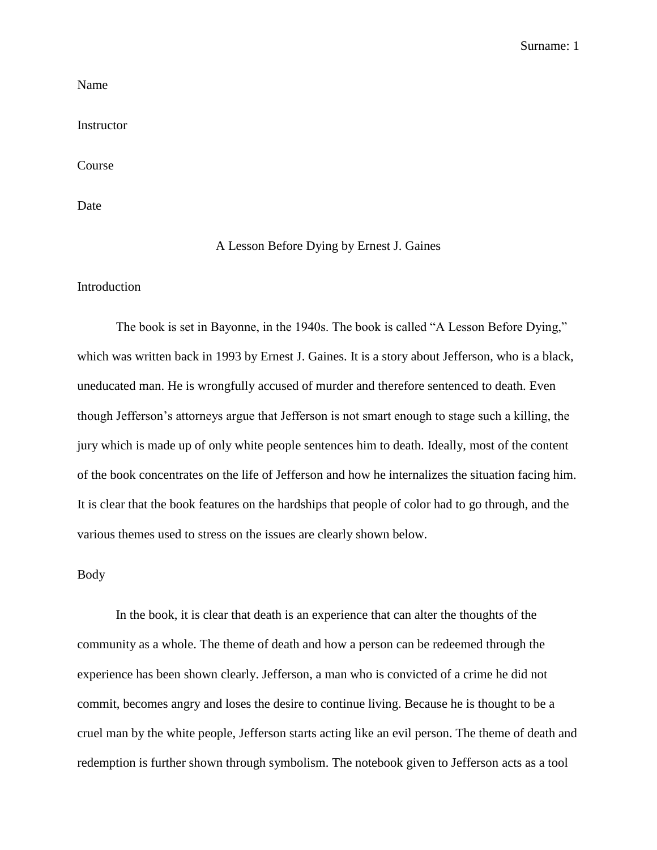Surname: 1

Name

Instructor

Course

Date

## A Lesson Before Dying by Ernest J. Gaines

Introduction

The book is set in Bayonne, in the 1940s. The book is called "A Lesson Before Dying," which was written back in 1993 by Ernest J. Gaines. It is a story about Jefferson, who is a black, uneducated man. He is wrongfully accused of murder and therefore sentenced to death. Even though Jefferson's attorneys argue that Jefferson is not smart enough to stage such a killing, the jury which is made up of only white people sentences him to death. Ideally, most of the content of the book concentrates on the life of Jefferson and how he internalizes the situation facing him. It is clear that the book features on the hardships that people of color had to go through, and the various themes used to stress on the issues are clearly shown below.

## Body

In the book, it is clear that death is an experience that can alter the thoughts of the community as a whole. The theme of death and how a person can be redeemed through the experience has been shown clearly. Jefferson, a man who is convicted of a crime he did not commit, becomes angry and loses the desire to continue living. Because he is thought to be a cruel man by the white people, Jefferson starts acting like an evil person. The theme of death and redemption is further shown through symbolism. The notebook given to Jefferson acts as a tool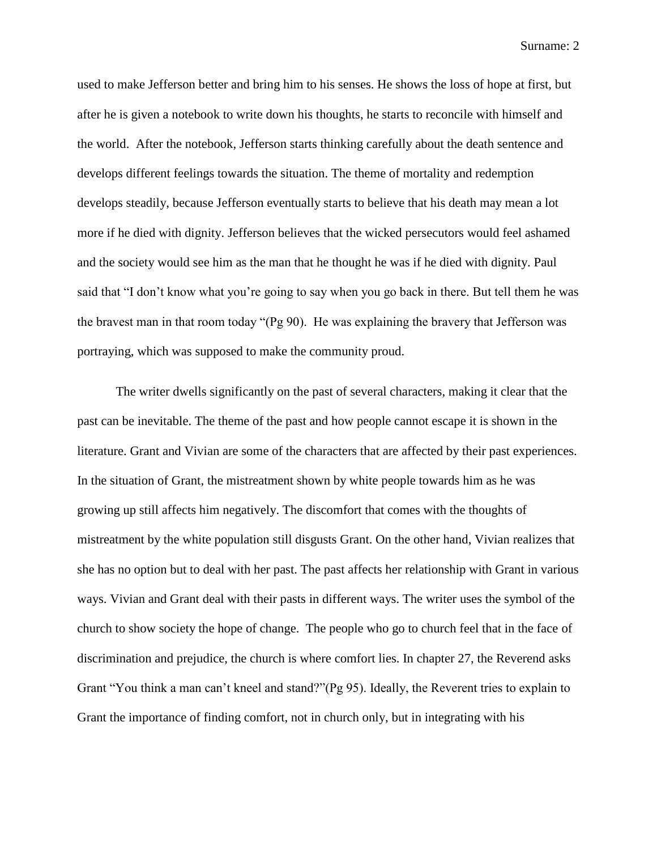Surname: 2

used to make Jefferson better and bring him to his senses. He shows the loss of hope at first, but after he is given a notebook to write down his thoughts, he starts to reconcile with himself and the world. After the notebook, Jefferson starts thinking carefully about the death sentence and develops different feelings towards the situation. The theme of mortality and redemption develops steadily, because Jefferson eventually starts to believe that his death may mean a lot more if he died with dignity. Jefferson believes that the wicked persecutors would feel ashamed and the society would see him as the man that he thought he was if he died with dignity. Paul said that "I don't know what you're going to say when you go back in there. But tell them he was the bravest man in that room today "(Pg 90). He was explaining the bravery that Jefferson was portraying, which was supposed to make the community proud.

The writer dwells significantly on the past of several characters, making it clear that the past can be inevitable. The theme of the past and how people cannot escape it is shown in the literature. Grant and Vivian are some of the characters that are affected by their past experiences. In the situation of Grant, the mistreatment shown by white people towards him as he was growing up still affects him negatively. The discomfort that comes with the thoughts of mistreatment by the white population still disgusts Grant. On the other hand, Vivian realizes that she has no option but to deal with her past. The past affects her relationship with Grant in various ways. Vivian and Grant deal with their pasts in different ways. The writer uses the symbol of the church to show society the hope of change. The people who go to church feel that in the face of discrimination and prejudice, the church is where comfort lies. In chapter 27, the Reverend asks Grant "You think a man can't kneel and stand?"(Pg 95). Ideally, the Reverent tries to explain to Grant the importance of finding comfort, not in church only, but in integrating with his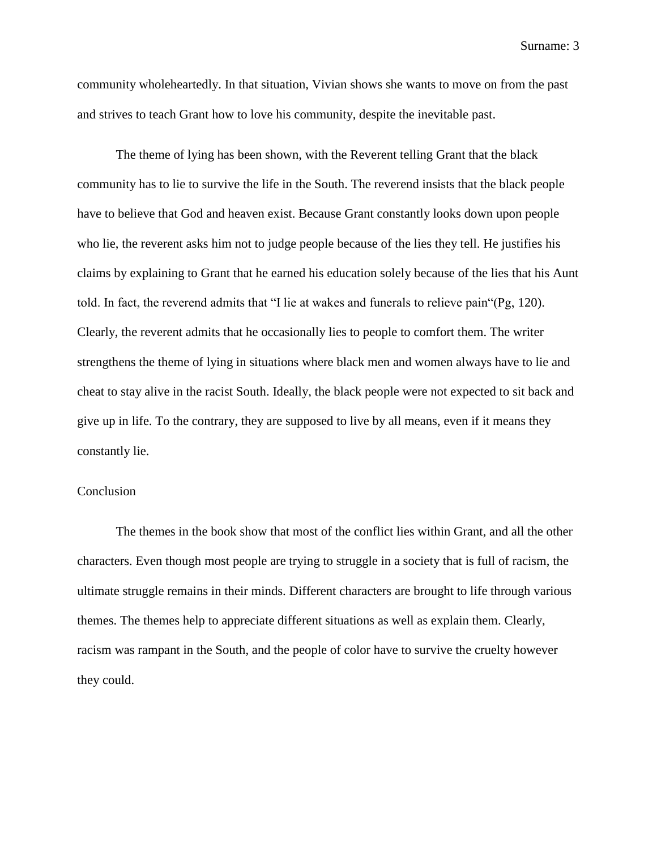Surname: 3

community wholeheartedly. In that situation, Vivian shows she wants to move on from the past and strives to teach Grant how to love his community, despite the inevitable past.

The theme of lying has been shown, with the Reverent telling Grant that the black community has to lie to survive the life in the South. The reverend insists that the black people have to believe that God and heaven exist. Because Grant constantly looks down upon people who lie, the reverent asks him not to judge people because of the lies they tell. He justifies his claims by explaining to Grant that he earned his education solely because of the lies that his Aunt told. In fact, the reverend admits that "I lie at wakes and funerals to relieve pain"(Pg, 120). Clearly, the reverent admits that he occasionally lies to people to comfort them. The writer strengthens the theme of lying in situations where black men and women always have to lie and cheat to stay alive in the racist South. Ideally, the black people were not expected to sit back and give up in life. To the contrary, they are supposed to live by all means, even if it means they constantly lie.

## Conclusion

The themes in the book show that most of the conflict lies within Grant, and all the other characters. Even though most people are trying to struggle in a society that is full of racism, the ultimate struggle remains in their minds. Different characters are brought to life through various themes. The themes help to appreciate different situations as well as explain them. Clearly, racism was rampant in the South, and the people of color have to survive the cruelty however they could.